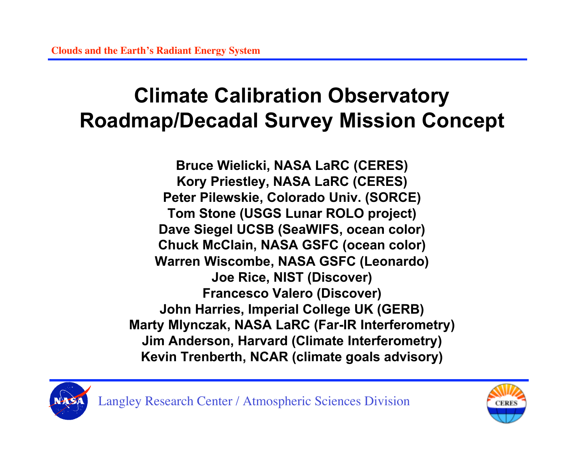### **Climate Calibration Observatory Roadmap/Decadal Survey Mission Concept**

**Bruce Wielicki, NASA LaRC (CERES) Kory Priestley, NASA LaRC (CERES) Peter Pilewskie, Colorado Univ. (SORCE) Tom Stone (USGS Lunar ROLO project) Dave Siegel UCSB (SeaWIFS, ocean color) Chuck McClain, NASA GSFC (ocean color) Warren Wiscombe, NASA GSFC (Leonardo) Joe Rice, NIST (Discover) Francesco Valero (Discover) John Harries, Imperial College UK (GERB) Marty Mlynczak, NASA LaRC (Far-IR Interferometry) Jim Anderson, Harvard (Climate Interferometry) Kevin Trenberth, NCAR (climate goals advisory)**



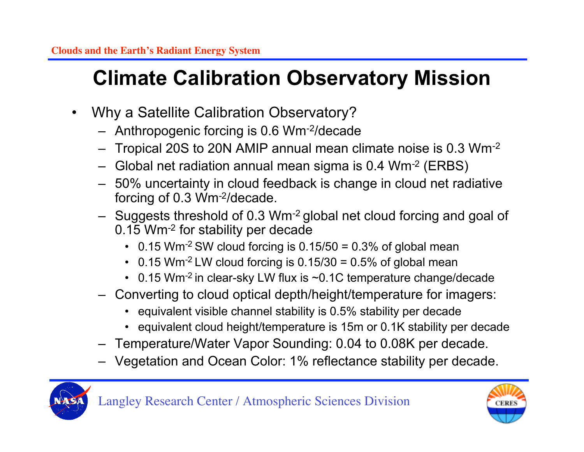## **Climate Calibration Observatory Mission**

- Why a Satellite Calibration Observatory?
	- Anthropogenic forcing is 0.6 Wm-2/decade
	- Tropical 20S to 20N AMIP annual mean climate noise is 0.3 Wm-2
	- Global net radiation annual mean sigma is 0.4 Wm-2 (ERBS)
	- 50% uncertainty in cloud feedback is change in cloud net radiative forcing of 0.3 Wm-2/decade.
	- Suggests threshold of 0.3 Wm-2 global net cloud forcing and goal of 0.15 Wm-2 for stability per decade
		- 0.15 Wm<sup>-2</sup> SW cloud forcing is  $0.15/50 = 0.3%$  of global mean
		- 0.15 Wm<sup>-2</sup> LW cloud forcing is  $0.15/30 = 0.5%$  of global mean
		- 0.15 Wm<sup>-2</sup> in clear-sky LW flux is ~0.1C temperature change/decade
	- Converting to cloud optical depth/height/temperature for imagers:
		- equivalent visible channel stability is 0.5% stability per decade
		- equivalent cloud height/temperature is 15m or 0.1K stability per decade
	- Temperature/Water Vapor Sounding: 0.04 to 0.08K per decade.
	- Vegetation and Ocean Color: 1% reflectance stability per decade.



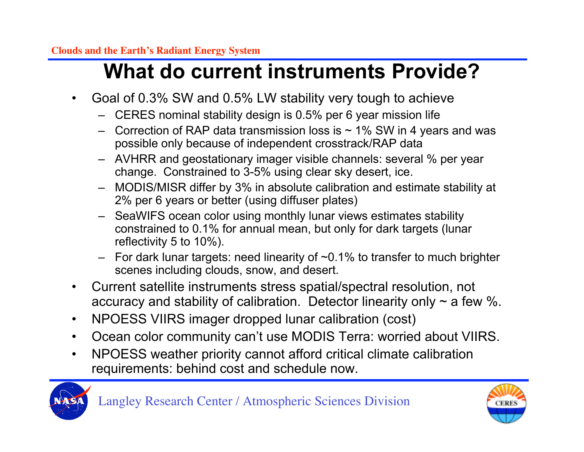### **What do current instruments Provide?**

- Goal of 0.3% SW and 0.5% LW stability very tough to achieve
	- CERES nominal stability design is 0.5% per 6 year mission life
	- Correction of RAP data transmission loss is  $\sim$  1% SW in 4 years and was possible only because of independent crosstrack/RAP data
	- AVHRR and geostationary imager visible channels: several % per year change. Constrained to 3-5% using clear sky desert, ice.
	- MODIS/MISR differ by 3% in absolute calibration and estimate stability at 2% per 6 years or better (using diffuser plates)
	- SeaWIFS ocean color using monthly lunar views estimates stability constrained to 0.1% for annual mean, but only for dark targets (lunar reflectivity 5 to 10%).
	- $-$  For dark lunar targets: need linearity of  $\sim$  0.1% to transfer to much brighter scenes including clouds, snow, and desert.
- Current satellite instruments stress spatial/spectral resolution, not accuracy and stability of calibration. Detector linearity only  $\sim$  a few %.
- NPOESS VIIRS imager dropped lunar calibration (cost)
- Ocean color community can't use MODIS Terra: worried about VIIRS.
- NPOESS weather priority cannot afford critical climate calibration requirements: behind cost and schedule now.



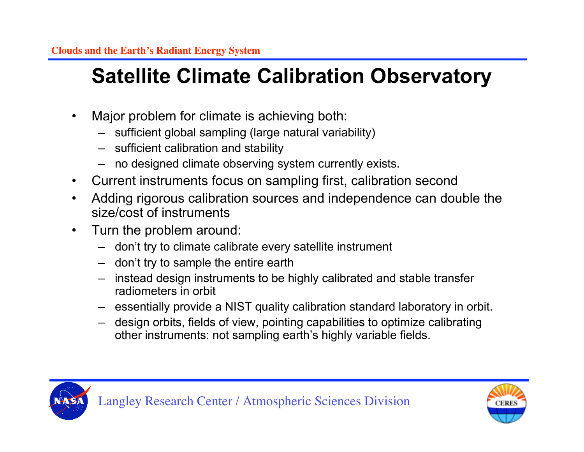- Major problem for climate is achieving both:
	- sufficient global sampling (large natural variability)
	- sufficient calibration and stability
	- no designed climate observing system currently exists.
- Current instruments focus on sampling first, calibration second
- Adding rigorous calibration sources and independence can double the size/cost of instruments
- Turn the problem around:
	- don't try to climate calibrate every satellite instrument
	- don't try to sample the entire earth
	- instead design instruments to be highly calibrated and stable transfer radiometers in orbit
	- essentially provide a NIST quality calibration standard laboratory in orbit.
	- design orbits, fields of view, pointing capabilities to optimize calibrating other instruments: not sampling earth's highly variable fields.



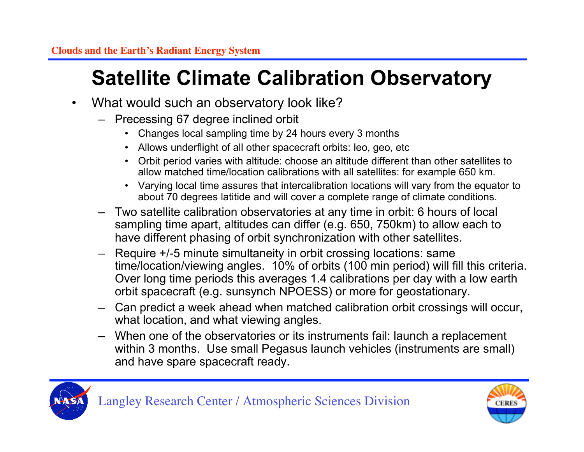- What would such an observatory look like?
	- Precessing 67 degree inclined orbit
		- Changes local sampling time by 24 hours every 3 months
		- Allows underflight of all other spacecraft orbits: leo, geo, etc
		- Orbit period varies with altitude: choose an altitude different than other satellites to allow matched time/location calibrations with all satellites: for example 650 km.
		- Varying local time assures that intercalibration locations will vary from the equator to about 70 degrees latitide and will cover a complete range of climate conditions.
	- Two satellite calibration observatories at any time in orbit: 6 hours of local sampling time apart, altitudes can differ (e.g. 650, 750km) to allow each to have different phasing of orbit synchronization with other satellites.
	- Require +/-5 minute simultaneity in orbit crossing locations: same time/location/viewing angles. 10% of orbits (100 min period) will fill this criteria. Over long time periods this averages 1.4 calibrations per day with a low earth orbit spacecraft (e.g. sunsynch NPOESS) or more for geostationary.
	- Can predict a week ahead when matched calibration orbit crossings will occur, what location, and what viewing angles.
	- When one of the observatories or its instruments fail: launch a replacement within 3 months. Use small Pegasus launch vehicles (instruments are small) and have spare spacecraft ready.



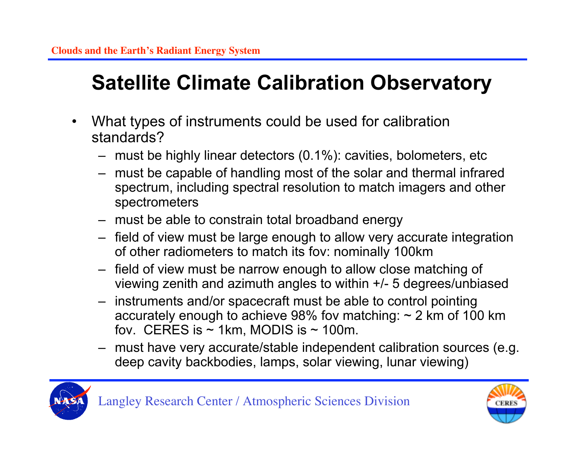- What types of instruments could be used for calibration standards?
	- must be highly linear detectors (0.1%): cavities, bolometers, etc
	- must be capable of handling most of the solar and thermal infrared spectrum, including spectral resolution to match imagers and other spectrometers
	- must be able to constrain total broadband energy
	- field of view must be large enough to allow very accurate integration of other radiometers to match its fov: nominally 100km
	- field of view must be narrow enough to allow close matching of viewing zenith and azimuth angles to within +/- 5 degrees/unbiased
	- instruments and/or spacecraft must be able to control pointing accurately enough to achieve 98% fov matching:  $\sim$  2 km of 100 km fov. CERES is  $\sim$  1km, MODIS is  $\sim$  100m.
	- must have very accurate/stable independent calibration sources (e.g. deep cavity backbodies, lamps, solar viewing, lunar viewing)



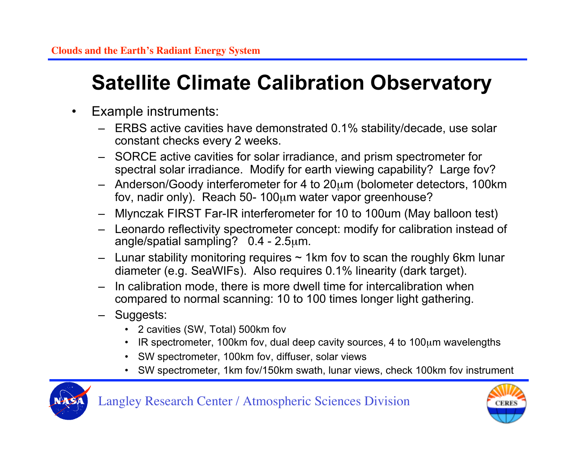- Example instruments:
	- ERBS active cavities have demonstrated 0.1% stability/decade, use solar constant checks every 2 weeks.
	- SORCE active cavities for solar irradiance, and prism spectrometer for spectral solar irradiance. Modify for earth viewing capability? Large fov?
	- $-$  Anderson/Goody interferometer for 4 to  $20\mu$ m (bolometer detectors, 100km) fov, nadir only). Reach 50- 100µm water vapor greenhouse?
	- Mlynczak FIRST Far-IR interferometer for 10 to 100um (May balloon test)
	- Leonardo reflectivity spectrometer concept: modify for calibration instead of angle/spatial sampling? 0.4 - 2.5µm.
	- $-$  Lunar stability monitoring requires  $\sim$  1km fov to scan the roughly 6km lunar diameter (e.g. SeaWIFs). Also requires 0.1% linearity (dark target).
	- In calibration mode, there is more dwell time for intercalibration when compared to normal scanning: 10 to 100 times longer light gathering.
	- Suggests:
		- 2 cavities (SW, Total) 500km fov
		- IR spectrometer, 100km fov, dual deep cavity sources, 4 to 100µm wavelengths
		- SW spectrometer, 100km fov, diffuser, solar views
		- SW spectrometer, 1km fov/150km swath, lunar views, check 100km fov instrument